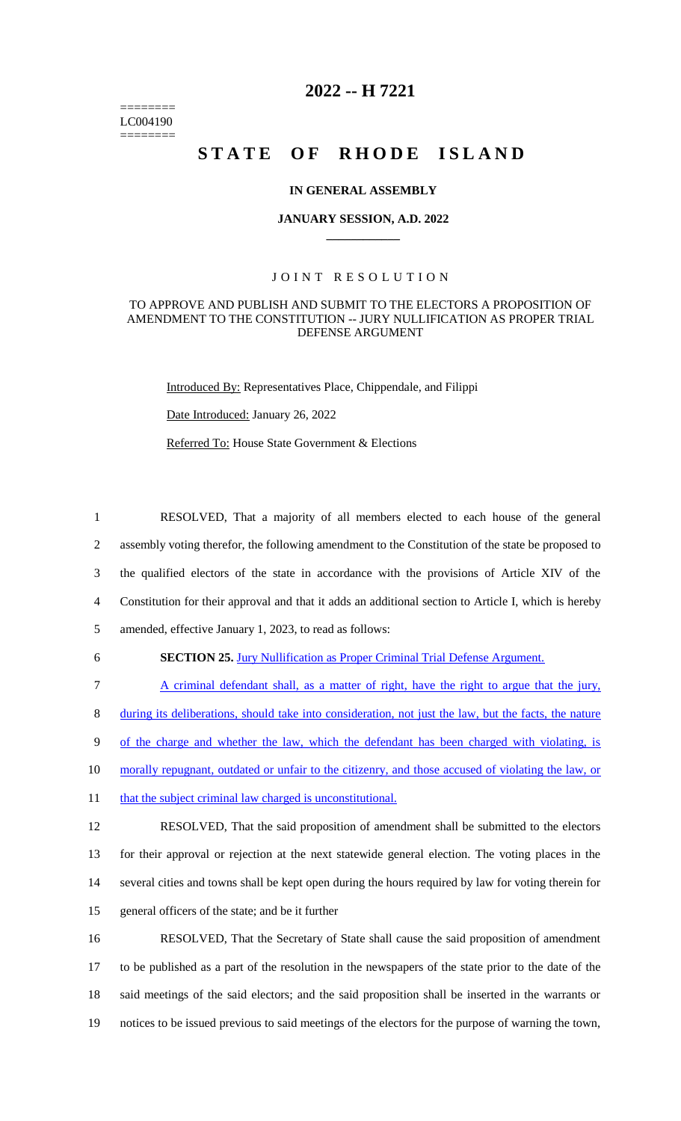======== LC004190 ========

# **2022 -- H 7221**

# **STATE OF RHODE ISLAND**

#### **IN GENERAL ASSEMBLY**

#### **JANUARY SESSION, A.D. 2022 \_\_\_\_\_\_\_\_\_\_\_\_**

#### JOINT RESOLUTION

#### TO APPROVE AND PUBLISH AND SUBMIT TO THE ELECTORS A PROPOSITION OF AMENDMENT TO THE CONSTITUTION -- JURY NULLIFICATION AS PROPER TRIAL DEFENSE ARGUMENT

Introduced By: Representatives Place, Chippendale, and Filippi

Date Introduced: January 26, 2022

Referred To: House State Government & Elections

 RESOLVED, That a majority of all members elected to each house of the general assembly voting therefor, the following amendment to the Constitution of the state be proposed to the qualified electors of the state in accordance with the provisions of Article XIV of the Constitution for their approval and that it adds an additional section to Article I, which is hereby amended, effective January 1, 2023, to read as follows:

6 **SECTION 25.** Jury Nullification as Proper Criminal Trial Defense Argument.

 A criminal defendant shall, as a matter of right, have the right to argue that the jury, during its deliberations, should take into consideration, not just the law, but the facts, the nature of the charge and whether the law, which the defendant has been charged with violating, is morally repugnant, outdated or unfair to the citizenry, and those accused of violating the law, or 11 that the subject criminal law charged is unconstitutional.

 RESOLVED, That the said proposition of amendment shall be submitted to the electors for their approval or rejection at the next statewide general election. The voting places in the several cities and towns shall be kept open during the hours required by law for voting therein for general officers of the state; and be it further

 RESOLVED, That the Secretary of State shall cause the said proposition of amendment to be published as a part of the resolution in the newspapers of the state prior to the date of the said meetings of the said electors; and the said proposition shall be inserted in the warrants or notices to be issued previous to said meetings of the electors for the purpose of warning the town,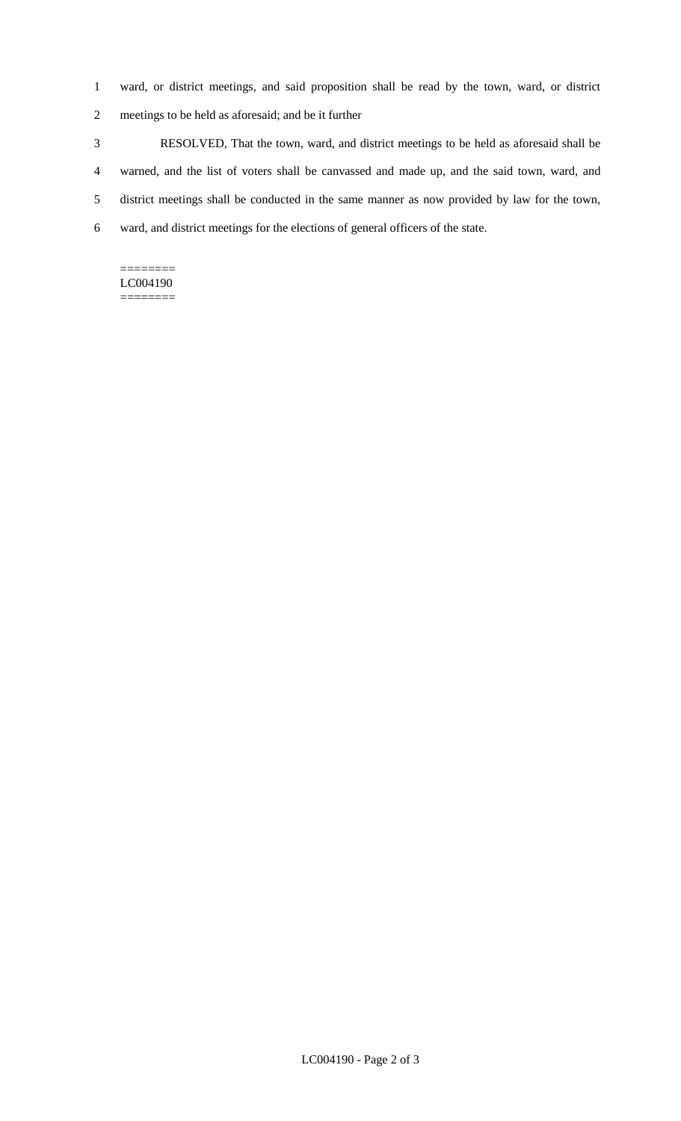- 1 ward, or district meetings, and said proposition shall be read by the town, ward, or district
- 2 meetings to be held as aforesaid; and be it further
- 3 RESOLVED, That the town, ward, and district meetings to be held as aforesaid shall be 4 warned, and the list of voters shall be canvassed and made up, and the said town, ward, and 5 district meetings shall be conducted in the same manner as now provided by law for the town, 6 ward, and district meetings for the elections of general officers of the state.

#### ======== LC004190

========